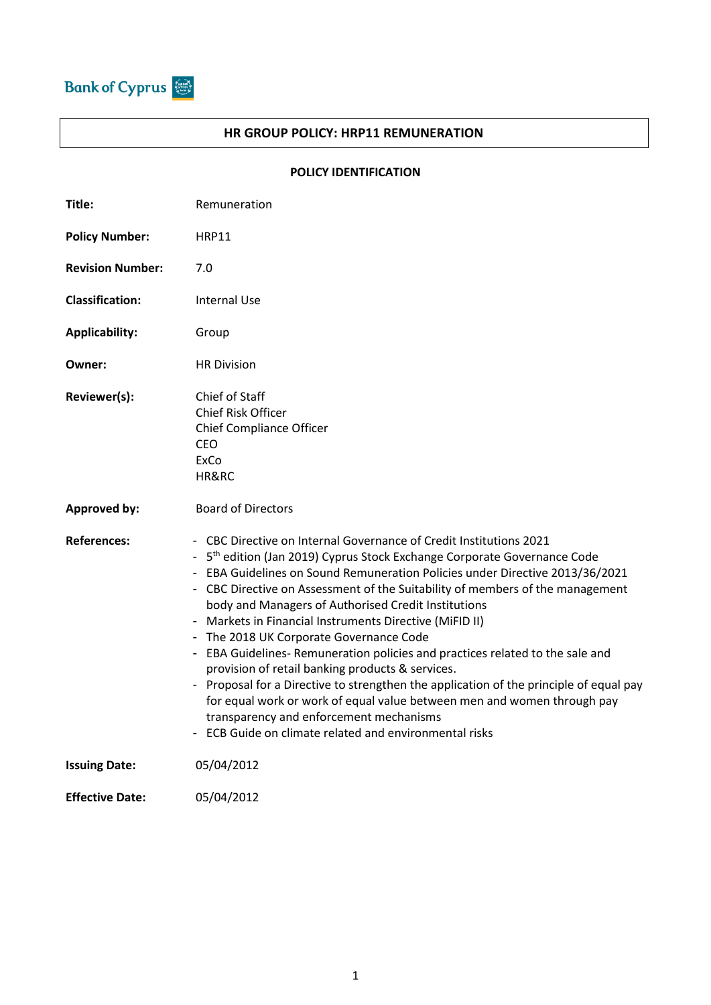

## **HR GROUP POLICY: HRP11 REMUNERATION**

## **POLICY IDENTIFICATION**

| Title:                  | Remuneration                                                                                                                                                                                                                                                                                                                                                                                                                                                                                                                                                                                                                                                                                                                                                                                                                                                                                     |  |  |  |
|-------------------------|--------------------------------------------------------------------------------------------------------------------------------------------------------------------------------------------------------------------------------------------------------------------------------------------------------------------------------------------------------------------------------------------------------------------------------------------------------------------------------------------------------------------------------------------------------------------------------------------------------------------------------------------------------------------------------------------------------------------------------------------------------------------------------------------------------------------------------------------------------------------------------------------------|--|--|--|
| <b>Policy Number:</b>   | <b>HRP11</b>                                                                                                                                                                                                                                                                                                                                                                                                                                                                                                                                                                                                                                                                                                                                                                                                                                                                                     |  |  |  |
| <b>Revision Number:</b> | 7.0                                                                                                                                                                                                                                                                                                                                                                                                                                                                                                                                                                                                                                                                                                                                                                                                                                                                                              |  |  |  |
| <b>Classification:</b>  | <b>Internal Use</b>                                                                                                                                                                                                                                                                                                                                                                                                                                                                                                                                                                                                                                                                                                                                                                                                                                                                              |  |  |  |
| <b>Applicability:</b>   | Group                                                                                                                                                                                                                                                                                                                                                                                                                                                                                                                                                                                                                                                                                                                                                                                                                                                                                            |  |  |  |
| Owner:                  | <b>HR Division</b>                                                                                                                                                                                                                                                                                                                                                                                                                                                                                                                                                                                                                                                                                                                                                                                                                                                                               |  |  |  |
| Reviewer(s):            | Chief of Staff<br>Chief Risk Officer<br>Chief Compliance Officer<br>CEO<br>ExCo<br>HR&RC                                                                                                                                                                                                                                                                                                                                                                                                                                                                                                                                                                                                                                                                                                                                                                                                         |  |  |  |
| <b>Approved by:</b>     | <b>Board of Directors</b>                                                                                                                                                                                                                                                                                                                                                                                                                                                                                                                                                                                                                                                                                                                                                                                                                                                                        |  |  |  |
| <b>References:</b>      | - CBC Directive on Internal Governance of Credit Institutions 2021<br>5 <sup>th</sup> edition (Jan 2019) Cyprus Stock Exchange Corporate Governance Code<br>EBA Guidelines on Sound Remuneration Policies under Directive 2013/36/2021<br>- CBC Directive on Assessment of the Suitability of members of the management<br>body and Managers of Authorised Credit Institutions<br>Markets in Financial Instruments Directive (MiFID II)<br>- The 2018 UK Corporate Governance Code<br>- EBA Guidelines-Remuneration policies and practices related to the sale and<br>provision of retail banking products & services.<br>- Proposal for a Directive to strengthen the application of the principle of equal pay<br>for equal work or work of equal value between men and women through pay<br>transparency and enforcement mechanisms<br>- ECB Guide on climate related and environmental risks |  |  |  |
| <b>Issuing Date:</b>    | 05/04/2012                                                                                                                                                                                                                                                                                                                                                                                                                                                                                                                                                                                                                                                                                                                                                                                                                                                                                       |  |  |  |
| <b>Effective Date:</b>  | 05/04/2012                                                                                                                                                                                                                                                                                                                                                                                                                                                                                                                                                                                                                                                                                                                                                                                                                                                                                       |  |  |  |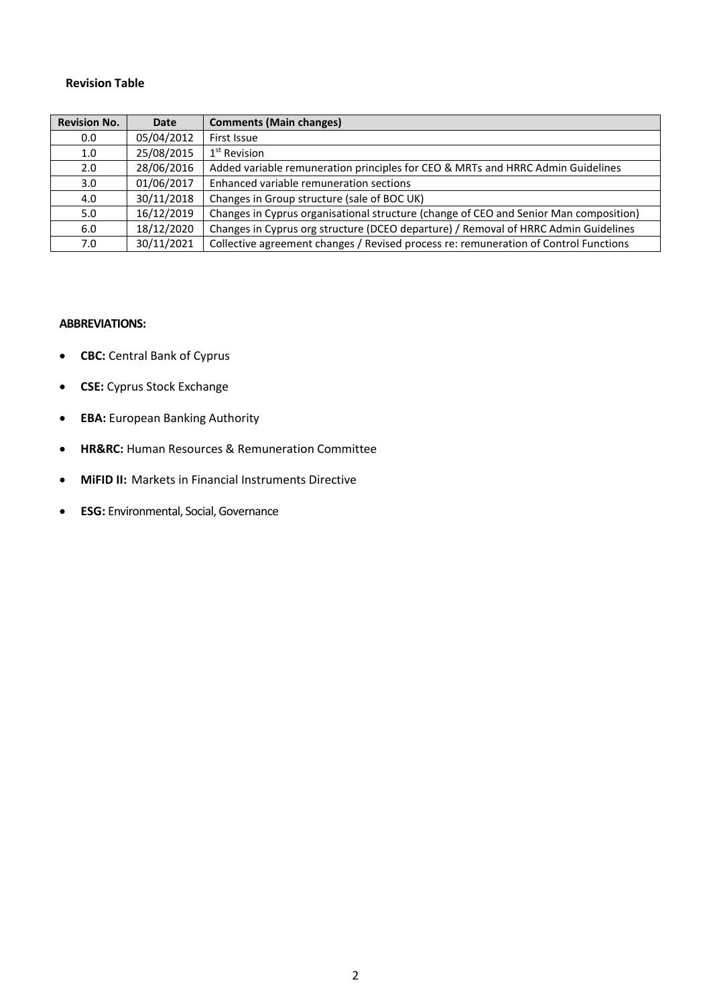#### **Revision Table**

| <b>Revision No.</b> | Date       | <b>Comments (Main changes)</b>                                                        |
|---------------------|------------|---------------------------------------------------------------------------------------|
| 0.0                 | 05/04/2012 | First Issue                                                                           |
| 1.0                 | 25/08/2015 | 1 <sup>st</sup> Revision                                                              |
| 2.0                 | 28/06/2016 | Added variable remuneration principles for CEO & MRTs and HRRC Admin Guidelines       |
| 3.0                 | 01/06/2017 | Enhanced variable remuneration sections                                               |
| 4.0                 | 30/11/2018 | Changes in Group structure (sale of BOC UK)                                           |
| 5.0                 | 16/12/2019 | Changes in Cyprus organisational structure (change of CEO and Senior Man composition) |
| 6.0                 | 18/12/2020 | Changes in Cyprus org structure (DCEO departure) / Removal of HRRC Admin Guidelines   |
| 7.0                 | 30/11/2021 | Collective agreement changes / Revised process re: remuneration of Control Functions  |

#### **ABBREVIATIONS:**

- **CBC:** Central Bank of Cyprus
- **CSE:** Cyprus Stock Exchange
- **EBA:** European Banking Authority
- **HR&RC:** Human Resources & Remuneration Committee
- **MiFID II:** Markets in Financial Instruments Directive
- **ESG:** Environmental, Social, Governance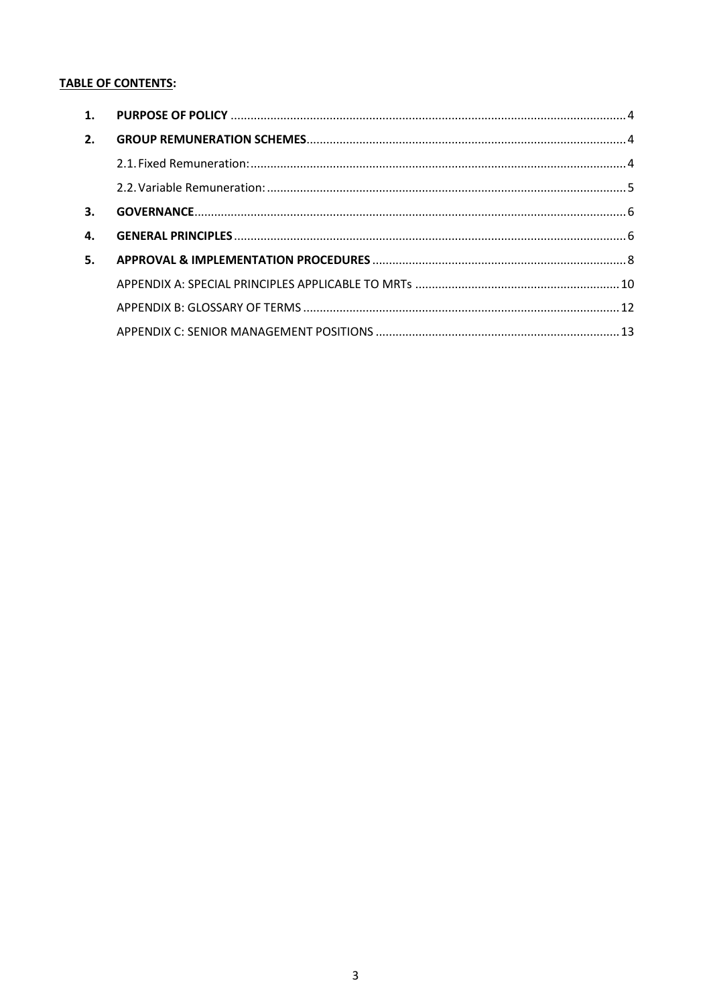# **TABLE OF CONTENTS:**

| 1. |  |
|----|--|
| 2. |  |
|    |  |
|    |  |
| 3. |  |
| 4. |  |
| 5. |  |
|    |  |
|    |  |
|    |  |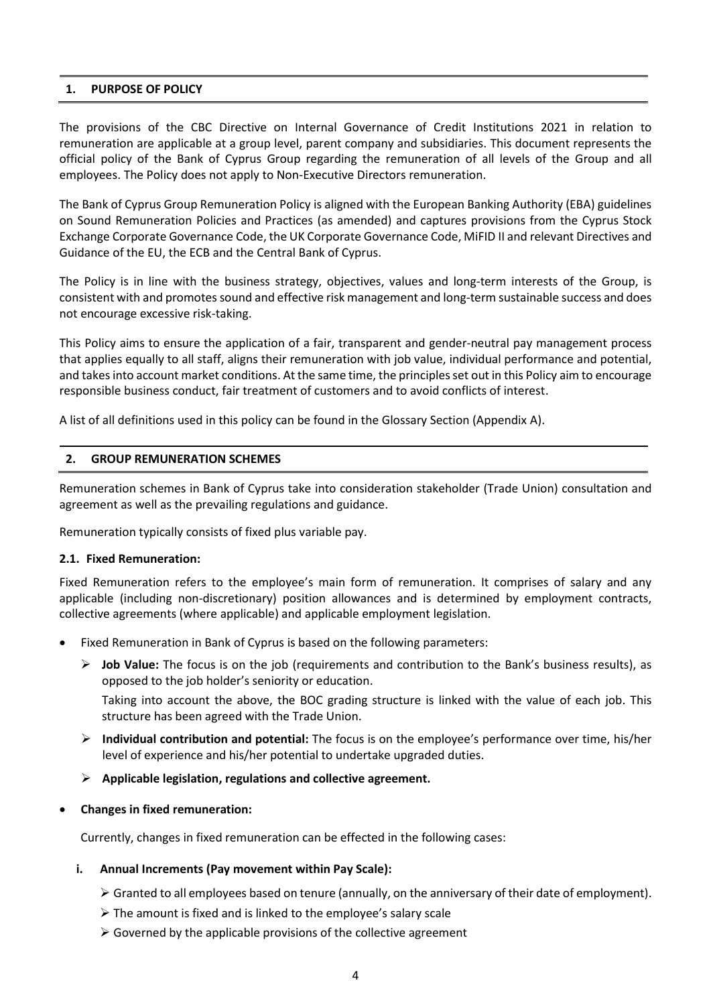## **1. PURPOSE OF POLICY**

The provisions of the CBC Directive on Internal Governance of Credit Institutions 2021 in relation to remuneration are applicable at a group level, parent company and subsidiaries. This document represents the official policy of the Bank of Cyprus Group regarding the remuneration of all levels of the Group and all employees. The Policy does not apply to Non-Executive Directors remuneration.

The Bank of Cyprus Group Remuneration Policy is aligned with the European Banking Authority (EBA) guidelines on Sound Remuneration Policies and Practices (as amended) and captures provisions from the Cyprus Stock Exchange Corporate Governance Code, the UK Corporate Governance Code, MiFID II and relevant Directives and Guidance of the EU, the ECB and the Central Bank of Cyprus.

The Policy is in line with the business strategy, objectives, values and long-term interests of the Group, is consistent with and promotes sound and effective risk management and long-term sustainable success and does not encourage excessive risk-taking.

This Policy aims to ensure the application of a fair, transparent and gender-neutral pay management process that applies equally to all staff, aligns their remuneration with job value, individual performance and potential, and takesinto account market conditions. At the same time, the principles set out in this Policy aim to encourage responsible business conduct, fair treatment of customers and to avoid conflicts of interest.

A list of all definitions used in this policy can be found in the Glossary Section (Appendix A).

## **2. GROUP REMUNERATION SCHEMES**

Remuneration schemes in Bank of Cyprus take into consideration stakeholder (Trade Union) consultation and agreement as well as the prevailing regulations and guidance.

Remuneration typically consists of fixed plus variable pay.

## **2.1. Fixed Remuneration:**

Fixed Remuneration refers to the employee's main form of remuneration. It comprises of salary and any applicable (including non-discretionary) position allowances and is determined by employment contracts, collective agreements (where applicable) and applicable employment legislation.

- Fixed Remuneration in Bank of Cyprus is based on the following parameters:
	- ➢ **Job Value:** The focus is on the job (requirements and contribution to the Bank's business results), as opposed to the job holder's seniority or education.

Taking into account the above, the BOC grading structure is linked with the value of each job. This structure has been agreed with the Trade Union.

- ➢ **Individual contribution and potential:** The focus is on the employee's performance over time, his/her level of experience and his/her potential to undertake upgraded duties.
- ➢ **Applicable legislation, regulations and collective agreement.**
- **Changes in fixed remuneration:**

Currently, changes in fixed remuneration can be effected in the following cases:

## **i. Annual Increments (Pay movement within Pay Scale):**

- ➢ Granted to all employees based on tenure (annually, on the anniversary of their date of employment).
- $\triangleright$  The amount is fixed and is linked to the employee's salary scale
- $\triangleright$  Governed by the applicable provisions of the collective agreement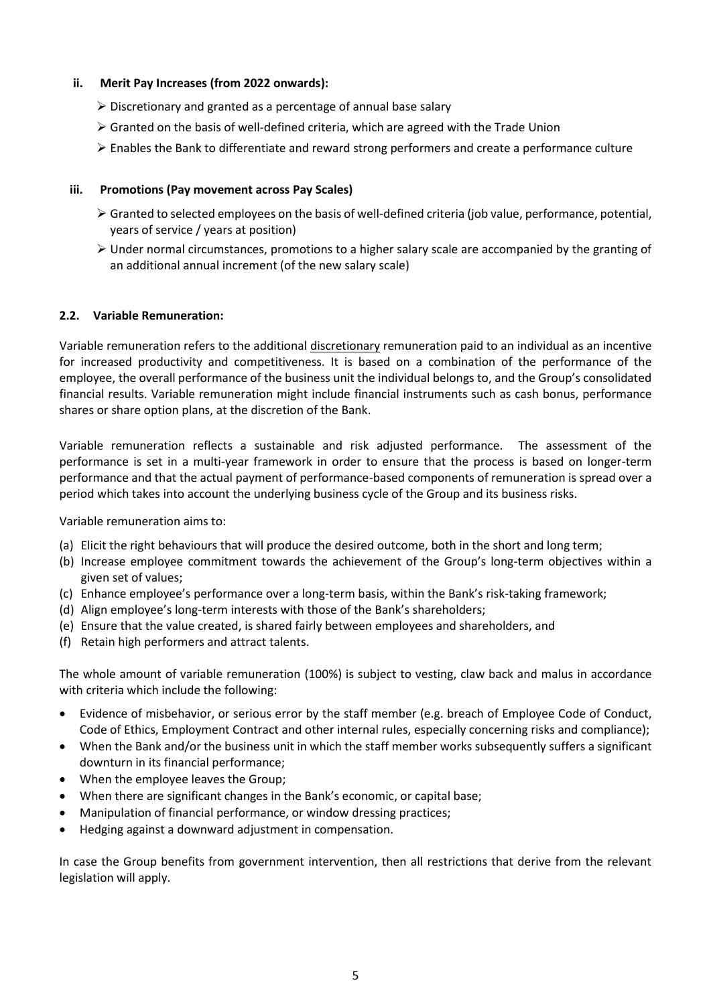## **ii. Merit Pay Increases (from 2022 onwards):**

- ➢ Discretionary and granted as a percentage of annual base salary
- $\triangleright$  Granted on the basis of well-defined criteria, which are agreed with the Trade Union
- ➢ Enables the Bank to differentiate and reward strong performers and create a performance culture

## **iii. Promotions (Pay movement across Pay Scales)**

- ➢ Granted to selected employees on the basis of well-defined criteria (job value, performance, potential, years of service / years at position)
- $\triangleright$  Under normal circumstances, promotions to a higher salary scale are accompanied by the granting of an additional annual increment (of the new salary scale)

## **2.2. Variable Remuneration:**

Variable remuneration refers to the additional discretionary remuneration paid to an individual as an incentive for increased productivity and competitiveness. It is based on a combination of the performance of the employee, the overall performance of the business unit the individual belongs to, and the Group's consolidated financial results. Variable remuneration might include financial instruments such as cash bonus, performance shares or share option plans, at the discretion of the Bank.

Variable remuneration reflects a sustainable and risk adjusted performance. The assessment of the performance is set in a multi-year framework in order to ensure that the process is based on longer-term performance and that the actual payment of performance-based components of remuneration is spread over a period which takes into account the underlying business cycle of the Group and its business risks.

Variable remuneration aims to:

- (a) Elicit the right behaviours that will produce the desired outcome, both in the short and long term;
- (b) Increase employee commitment towards the achievement of the Group's long-term objectives within a given set of values;
- (c) Enhance employee's performance over a long-term basis, within the Bank's risk-taking framework;
- (d) Align employee's long-term interests with those of the Bank's shareholders;
- (e) Ensure that the value created, is shared fairly between employees and shareholders, and
- (f) Retain high performers and attract talents.

The whole amount of variable remuneration (100%) is subject to vesting, claw back and malus in accordance with criteria which include the following:

- Evidence of misbehavior, or serious error by the staff member (e.g. breach of Employee Code of Conduct, Code of Ethics, Employment Contract and other internal rules, especially concerning risks and compliance);
- When the Bank and/or the business unit in which the staff member works subsequently suffers a significant downturn in its financial performance;
- When the employee leaves the Group;
- When there are significant changes in the Bank's economic, or capital base;
- Manipulation of financial performance, or window dressing practices;
- Hedging against a downward adjustment in compensation.

In case the Group benefits from government intervention, then all restrictions that derive from the relevant legislation will apply.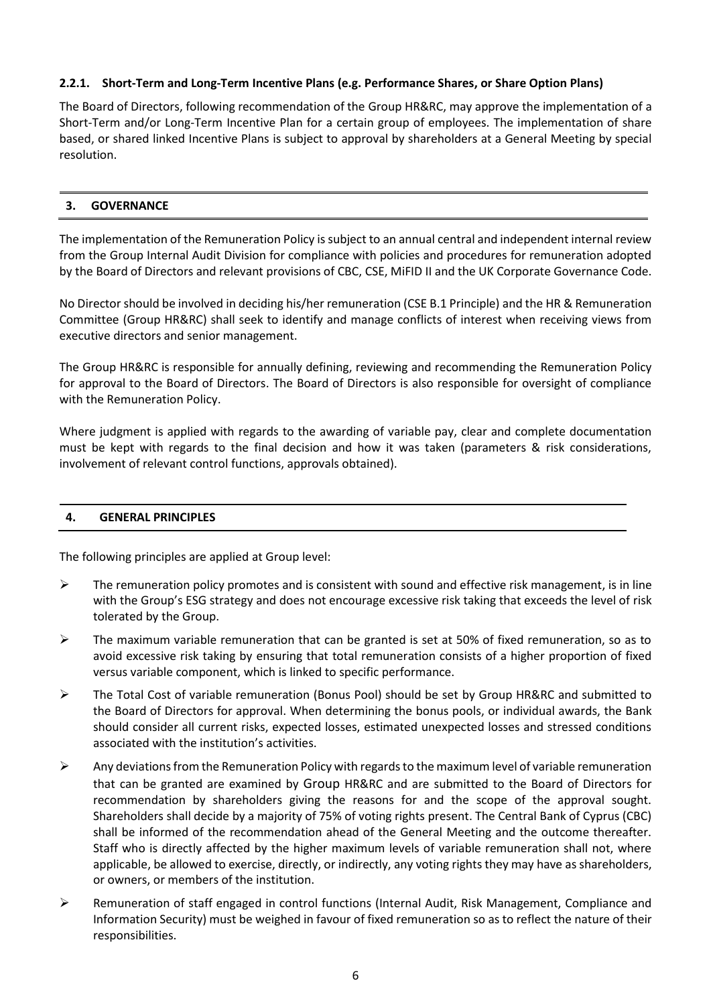## **2.2.1. Short-Term and Long-Term Incentive Plans (e.g. Performance Shares, or Share Option Plans)**

The Board of Directors, following recommendation of the Group HR&RC, may approve the implementation of a Short-Term and/or Long-Term Incentive Plan for a certain group of employees. The implementation of share based, or shared linked Incentive Plans is subject to approval by shareholders at a General Meeting by special resolution.

## **3. GOVERNANCE**

The implementation of the Remuneration Policy is subject to an annual central and independent internal review from the Group Internal Audit Division for compliance with policies and procedures for remuneration adopted by the Board of Directors and relevant provisions of CBC, CSE, MiFID II and the UK Corporate Governance Code.

No Director should be involved in deciding his/her remuneration (CSE B.1 Principle) and the HR & Remuneration Committee (Group HR&RC) shall seek to identify and manage conflicts of interest when receiving views from executive directors and senior management.

The Group HR&RC is responsible for annually defining, reviewing and recommending the Remuneration Policy for approval to the Board of Directors. The Board of Directors is also responsible for oversight of compliance with the Remuneration Policy.

Where judgment is applied with regards to the awarding of variable pay, clear and complete documentation must be kept with regards to the final decision and how it was taken (parameters & risk considerations, involvement of relevant control functions, approvals obtained).

## **4. GENERAL PRINCIPLES**

The following principles are applied at Group level:

- $\triangleright$  The remuneration policy promotes and is consistent with sound and effective risk management, is in line with the Group's ESG strategy and does not encourage excessive risk taking that exceeds the level of risk tolerated by the Group.
- $\triangleright$  The maximum variable remuneration that can be granted is set at 50% of fixed remuneration, so as to avoid excessive risk taking by ensuring that total remuneration consists of a higher proportion of fixed versus variable component, which is linked to specific performance.
- ➢ The Total Cost of variable remuneration (Bonus Pool) should be set by Group HR&RC and submitted to the Board of Directors for approval. When determining the bonus pools, or individual awards, the Bank should consider all current risks, expected losses, estimated unexpected losses and stressed conditions associated with the institution's activities.
- $\triangleright$  Any deviations from the Remuneration Policy with regards to the maximum level of variable remuneration that can be granted are examined by Group HR&RC and are submitted to the Board of Directors for recommendation by shareholders giving the reasons for and the scope of the approval sought. Shareholders shall decide by a majority of 75% of voting rights present. The Central Bank of Cyprus (CBC) shall be informed of the recommendation ahead of the General Meeting and the outcome thereafter. Staff who is directly affected by the higher maximum levels of variable remuneration shall not, where applicable, be allowed to exercise, directly, or indirectly, any voting rights they may have as shareholders, or owners, or members of the institution.
- ➢ Remuneration of staff engaged in control functions (Internal Audit, Risk Management, Compliance and Information Security) must be weighed in favour of fixed remuneration so as to reflect the nature of their responsibilities.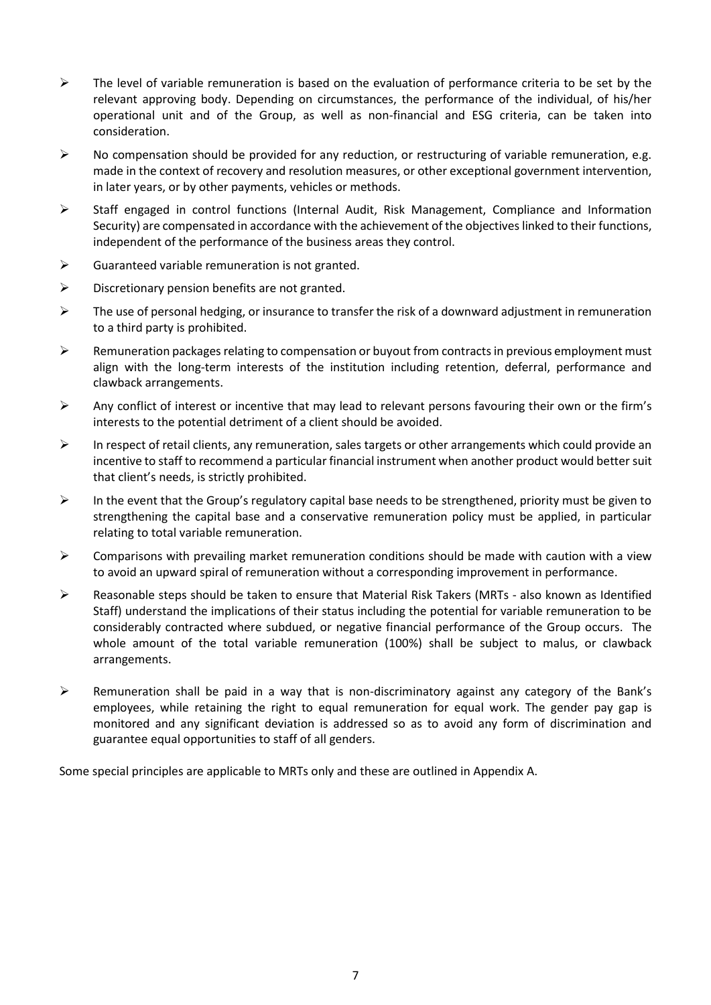- $\triangleright$  The level of variable remuneration is based on the evaluation of performance criteria to be set by the relevant approving body. Depending on circumstances, the performance of the individual, of his/her operational unit and of the Group, as well as non-financial and ESG criteria, can be taken into consideration.
- $\triangleright$  No compensation should be provided for any reduction, or restructuring of variable remuneration, e.g. made in the context of recovery and resolution measures, or other exceptional government intervention, in later years, or by other payments, vehicles or methods.
- ➢ Staff engaged in control functions (Internal Audit, Risk Management, Compliance and Information Security) are compensated in accordance with the achievement of the objectives linked to their functions, independent of the performance of the business areas they control.
- $\triangleright$  Guaranteed variable remuneration is not granted.
- $\triangleright$  Discretionary pension benefits are not granted.
- $\triangleright$  The use of personal hedging, or insurance to transfer the risk of a downward adjustment in remuneration to a third party is prohibited.
- $\triangleright$  Remuneration packages relating to compensation or buyout from contracts in previous employment must align with the long-term interests of the institution including retention, deferral, performance and clawback arrangements.
- ➢ Any conflict of interest or incentive that may lead to relevant persons favouring their own or the firm's interests to the potential detriment of a client should be avoided.
- $\triangleright$  In respect of retail clients, any remuneration, sales targets or other arrangements which could provide an incentive to staff to recommend a particular financial instrument when another product would better suit that client's needs, is strictly prohibited.
- $\triangleright$  In the event that the Group's regulatory capital base needs to be strengthened, priority must be given to strengthening the capital base and a conservative remuneration policy must be applied, in particular relating to total variable remuneration.
- $\triangleright$  Comparisons with prevailing market remuneration conditions should be made with caution with a view to avoid an upward spiral of remuneration without a corresponding improvement in performance.
- ➢ Reasonable steps should be taken to ensure that Material Risk Takers (MRTs also known as Identified Staff) understand the implications of their status including the potential for variable remuneration to be considerably contracted where subdued, or negative financial performance of the Group occurs. The whole amount of the total variable remuneration (100%) shall be subject to malus, or clawback arrangements.
- ➢ Remuneration shall be paid in a way that is non-discriminatory against any category of the Bank's employees, while retaining the right to equal remuneration for equal work. The gender pay gap is monitored and any significant deviation is addressed so as to avoid any form of discrimination and guarantee equal opportunities to staff of all genders.

Some special principles are applicable to MRTs only and these are outlined in Appendix A.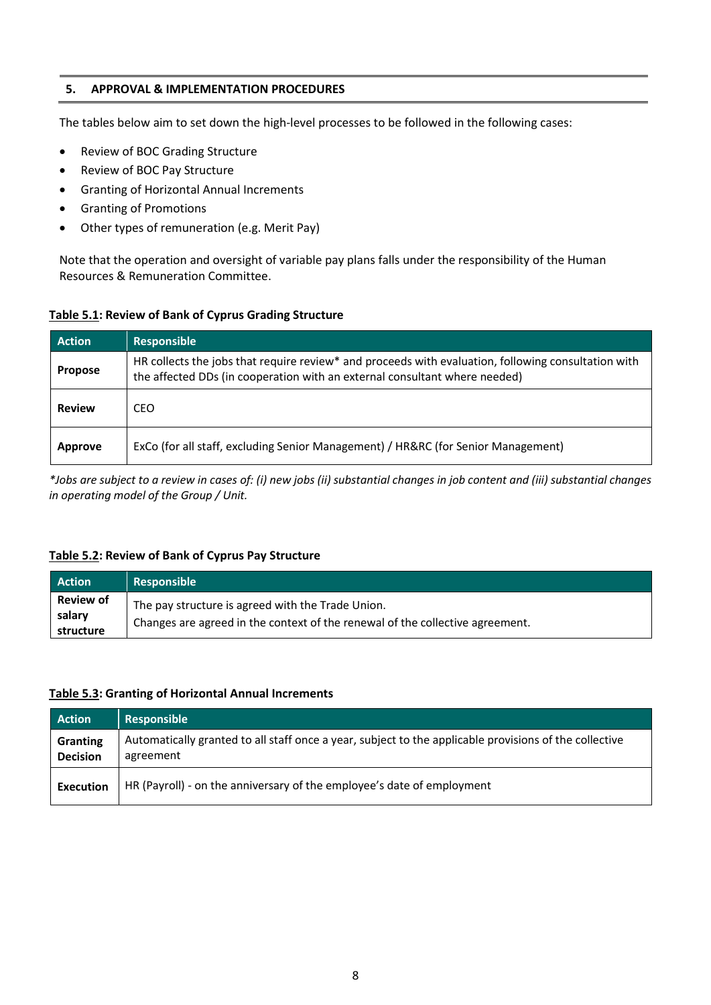## **5. APPROVAL & IMPLEMENTATION PROCEDURES**

The tables below aim to set down the high-level processes to be followed in the following cases:

- Review of BOC Grading Structure
- Review of BOC Pay Structure
- Granting of Horizontal Annual Increments
- Granting of Promotions
- Other types of remuneration (e.g. Merit Pay)

Note that the operation and oversight of variable pay plans falls under the responsibility of the Human Resources & Remuneration Committee.

## **Table 5.1: Review of Bank of Cyprus Grading Structure**

| <b>Action</b>  | <b>Responsible</b>                                                                                                                                                                |
|----------------|-----------------------------------------------------------------------------------------------------------------------------------------------------------------------------------|
| <b>Propose</b> | HR collects the jobs that require review* and proceeds with evaluation, following consultation with<br>the affected DDs (in cooperation with an external consultant where needed) |
| <b>Review</b>  | CEO.                                                                                                                                                                              |
| <b>Approve</b> | ExCo (for all staff, excluding Senior Management) / HR&RC (for Senior Management)                                                                                                 |

*\*Jobs are subject to a review in cases of: (i) new jobs (ii) substantial changes in job content and (iii) substantial changes in operating model of the Group / Unit.*

## **Table 5.2: Review of Bank of Cyprus Pay Structure**

| <b>Action</b>                           | <b>Responsible</b>                                                                                                                 |
|-----------------------------------------|------------------------------------------------------------------------------------------------------------------------------------|
| <b>Review of</b><br>salary<br>structure | The pay structure is agreed with the Trade Union.<br>Changes are agreed in the context of the renewal of the collective agreement. |

## **Table 5.3: Granting of Horizontal Annual Increments**

| <b>Action</b>               | Responsible                                                                                                         |
|-----------------------------|---------------------------------------------------------------------------------------------------------------------|
| Granting<br><b>Decision</b> | Automatically granted to all staff once a year, subject to the applicable provisions of the collective<br>agreement |
| <b>Execution</b>            | HR (Payroll) - on the anniversary of the employee's date of employment                                              |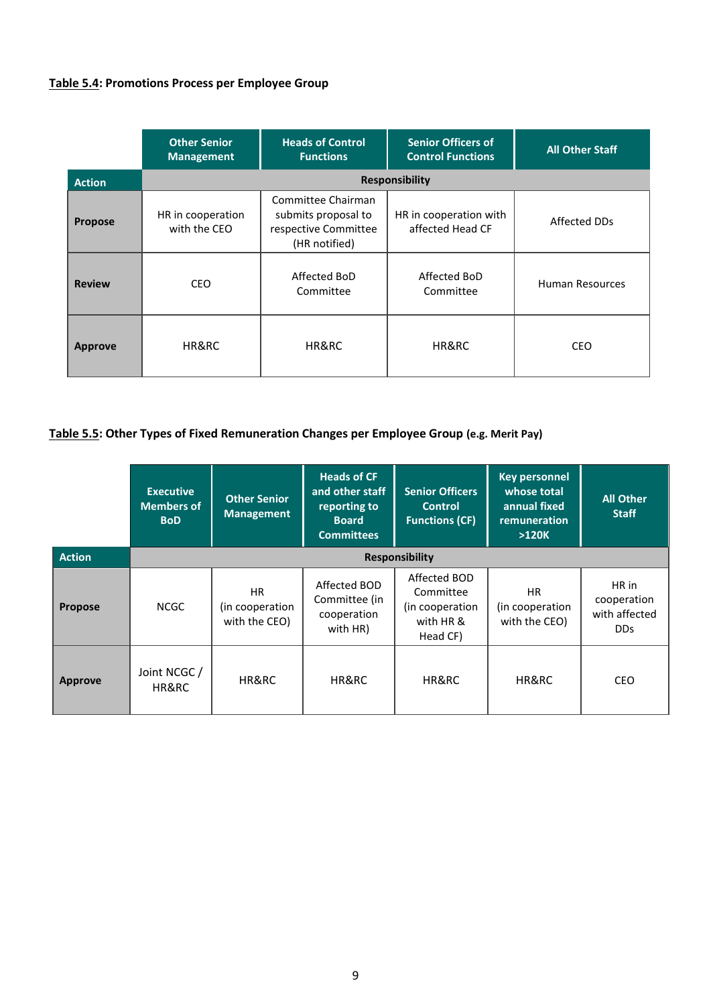# **Table 5.4: Promotions Process per Employee Group**

|                | <b>Other Senior</b><br><b>Management</b> | <b>Heads of Control</b><br><b>Functions</b>                                        | <b>Senior Officers of</b><br><b>Control Functions</b> | <b>All Other Staff</b> |
|----------------|------------------------------------------|------------------------------------------------------------------------------------|-------------------------------------------------------|------------------------|
| <b>Action</b>  | <b>Responsibility</b>                    |                                                                                    |                                                       |                        |
| <b>Propose</b> | HR in cooperation<br>with the CEO        | Committee Chairman<br>submits proposal to<br>respective Committee<br>(HR notified) | HR in cooperation with<br>affected Head CF            | Affected DDs           |
| <b>Review</b>  | <b>CEO</b>                               | Affected BoD<br>Committee                                                          | Affected BoD<br>Committee                             | <b>Human Resources</b> |
| <b>Approve</b> | HR&RC                                    | HR&RC                                                                              | HR&RC                                                 | <b>CEO</b>             |

# **Table 5.5: Other Types of Fixed Remuneration Changes per Employee Group (e.g. Merit Pay)**

|                | <b>Executive</b><br><b>Members of</b><br><b>BoD</b> | <b>Other Senior</b><br><b>Management</b>      | <b>Heads of CF</b><br>and other staff<br>reporting to<br><b>Board</b><br><b>Committees</b> | <b>Senior Officers</b><br><b>Control</b><br><b>Functions (CF)</b>     | <b>Key personnel</b><br>whose total<br>annual fixed<br>remuneration<br>$>120K$ | <b>All Other</b><br><b>Staff</b>                         |
|----------------|-----------------------------------------------------|-----------------------------------------------|--------------------------------------------------------------------------------------------|-----------------------------------------------------------------------|--------------------------------------------------------------------------------|----------------------------------------------------------|
| <b>Action</b>  | Responsibility                                      |                                               |                                                                                            |                                                                       |                                                                                |                                                          |
| <b>Propose</b> | <b>NCGC</b>                                         | <b>HR</b><br>(in cooperation<br>with the CEO) | Affected BOD<br>Committee (in<br>cooperation<br>with HR)                                   | Affected BOD<br>Committee<br>(in cooperation<br>with HR &<br>Head CF) | HR.<br>(in cooperation<br>with the CEO)                                        | HR in<br>cooperation<br>with affected<br>D <sub>Ds</sub> |
| <b>Approve</b> | Joint NCGC /<br>HR&RC                               | HR&RC                                         | HR&RC                                                                                      | HR&RC                                                                 | HR&RC                                                                          | <b>CEO</b>                                               |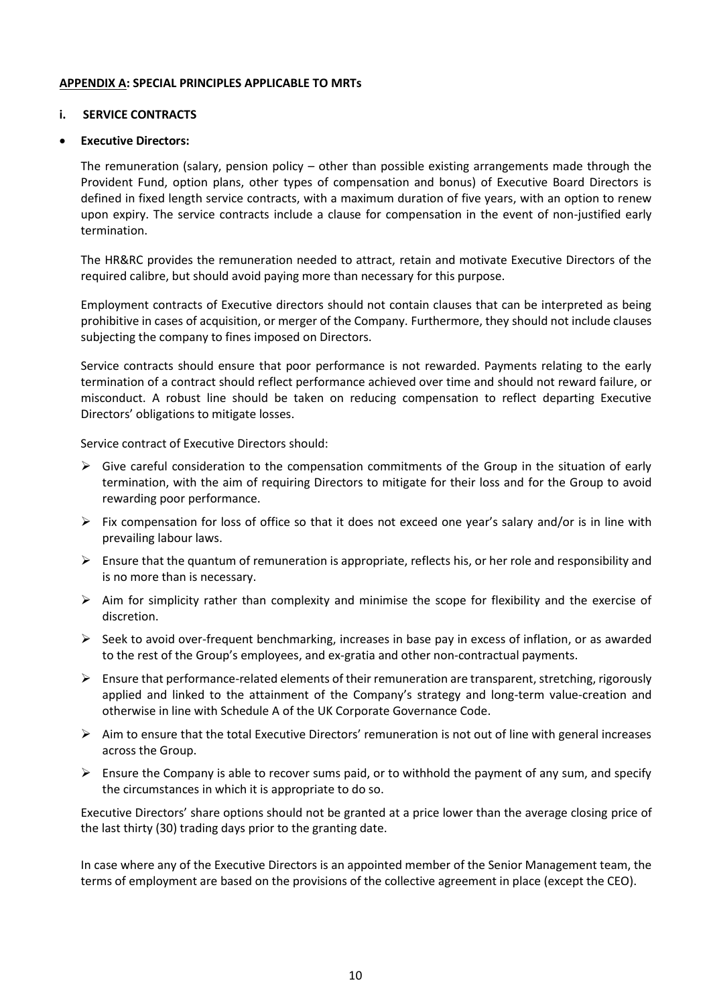#### **APPENDIX A: SPECIAL PRINCIPLES APPLICABLE TO MRTs**

## **i. SERVICE CONTRACTS**

#### • **Executive Directors:**

The remuneration (salary, pension policy – other than possible existing arrangements made through the Provident Fund, option plans, other types of compensation and bonus) of Executive Board Directors is defined in fixed length service contracts, with a maximum duration of five years, with an option to renew upon expiry. The service contracts include a clause for compensation in the event of non-justified early termination.

The HR&RC provides the remuneration needed to attract, retain and motivate Executive Directors of the required calibre, but should avoid paying more than necessary for this purpose.

Employment contracts of Executive directors should not contain clauses that can be interpreted as being prohibitive in cases of acquisition, or merger of the Company. Furthermore, they should not include clauses subjecting the company to fines imposed on Directors.

Service contracts should ensure that poor performance is not rewarded. Payments relating to the early termination of a contract should reflect performance achieved over time and should not reward failure, or misconduct. A robust line should be taken on reducing compensation to reflect departing Executive Directors' obligations to mitigate losses.

Service contract of Executive Directors should:

- $\triangleright$  Give careful consideration to the compensation commitments of the Group in the situation of early termination, with the aim of requiring Directors to mitigate for their loss and for the Group to avoid rewarding poor performance.
- $\triangleright$  Fix compensation for loss of office so that it does not exceed one year's salary and/or is in line with prevailing labour laws.
- $\triangleright$  Ensure that the quantum of remuneration is appropriate, reflects his, or her role and responsibility and is no more than is necessary.
- $\triangleright$  Aim for simplicity rather than complexity and minimise the scope for flexibility and the exercise of discretion.
- $\triangleright$  Seek to avoid over-frequent benchmarking, increases in base pay in excess of inflation, or as awarded to the rest of the Group's employees, and ex-gratia and other non-contractual payments.
- $\triangleright$  Ensure that performance-related elements of their remuneration are transparent, stretching, rigorously applied and linked to the attainment of the Company's strategy and long-term value-creation and otherwise in line with Schedule A of the UK Corporate Governance Code.
- $\triangleright$  Aim to ensure that the total Executive Directors' remuneration is not out of line with general increases across the Group.
- $\triangleright$  Ensure the Company is able to recover sums paid, or to withhold the payment of any sum, and specify the circumstances in which it is appropriate to do so.

Executive Directors' share options should not be granted at a price lower than the average closing price of the last thirty (30) trading days prior to the granting date.

In case where any of the Executive Directors is an appointed member of the Senior Management team, the terms of employment are based on the provisions of the collective agreement in place (except the CEO).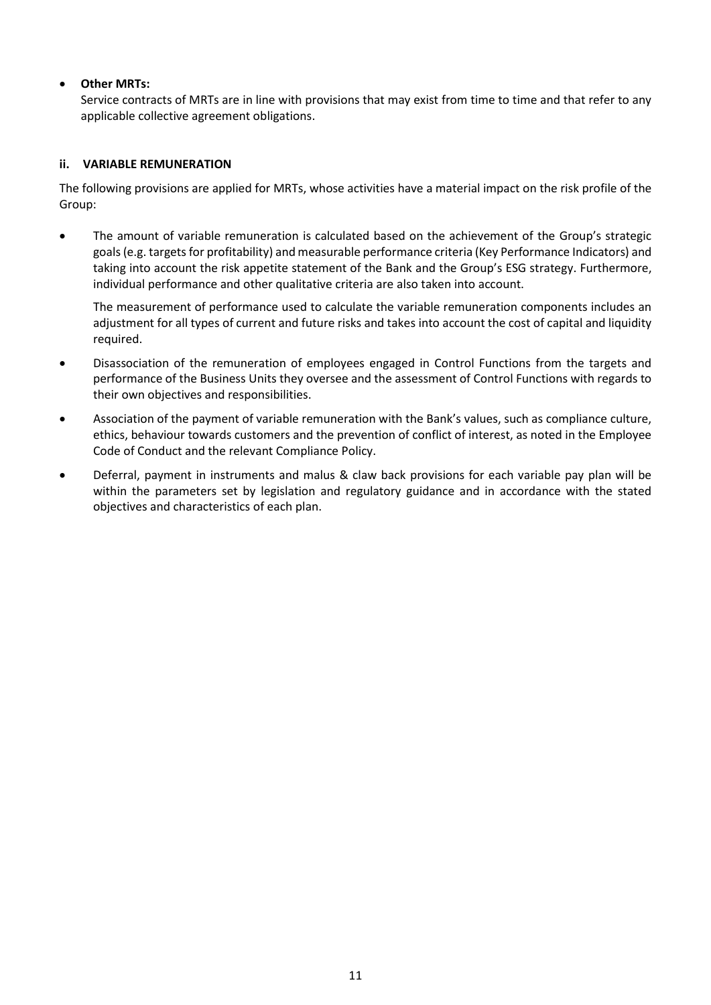# • **Other MRTs:**

Service contracts of MRTs are in line with provisions that may exist from time to time and that refer to any applicable collective agreement obligations.

# **ii. VARIABLE REMUNERATION**

The following provisions are applied for MRTs, whose activities have a material impact on the risk profile of the Group:

• The amount of variable remuneration is calculated based on the achievement of the Group's strategic goals (e.g. targets for profitability) and measurable performance criteria (Key Performance Indicators) and taking into account the risk appetite statement of the Bank and the Group's ESG strategy. Furthermore, individual performance and other qualitative criteria are also taken into account.

The measurement of performance used to calculate the variable remuneration components includes an adjustment for all types of current and future risks and takes into account the cost of capital and liquidity required.

- Disassociation of the remuneration of employees engaged in Control Functions from the targets and performance of the Business Units they oversee and the assessment of Control Functions with regards to their own objectives and responsibilities.
- Association of the payment of variable remuneration with the Bank's values, such as compliance culture, ethics, behaviour towards customers and the prevention of conflict of interest, as noted in the Employee Code of Conduct and the relevant Compliance Policy.
- Deferral, payment in instruments and malus & claw back provisions for each variable pay plan will be within the parameters set by legislation and regulatory guidance and in accordance with the stated objectives and characteristics of each plan.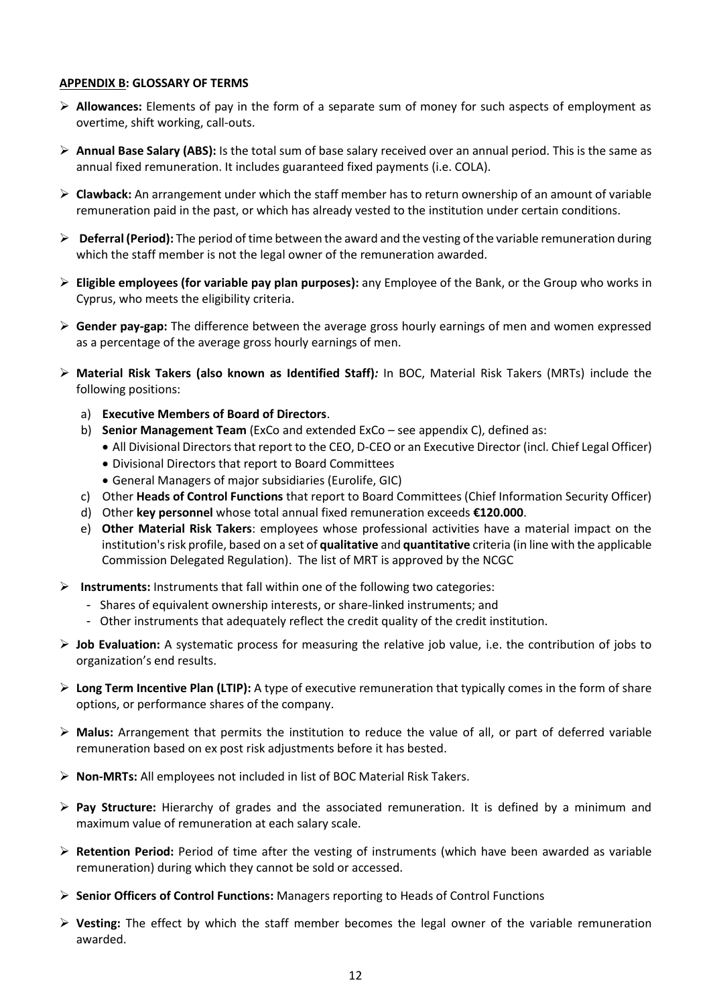#### **APPENDIX B: GLOSSARY OF TERMS**

- ➢ **Allowances:** Elements of pay in the form of a separate sum of money for such aspects of employment as overtime, shift working, call-outs.
- ➢ **Annual Base Salary (ABS):** Is the total sum of base salary received over an annual period. This is the same as annual fixed remuneration. It includes guaranteed fixed payments (i.e. COLA).
- ➢ **Clawback:** An arrangement under which the staff member has to return ownership of an amount of variable remuneration paid in the past, or which has already vested to the institution under certain conditions.
- ➢ **Deferral (Period):** The period of time between the award and the vesting of the variable remuneration during which the staff member is not the legal owner of the remuneration awarded.
- ➢ **Eligible employees (for variable pay plan purposes):** any Employee of the Bank, or the Group who works in Cyprus, who meets the eligibility criteria.
- ➢ **Gender pay-gap:** The difference between the average gross hourly earnings of men and women expressed as a percentage of the average gross hourly earnings of men.
- ➢ **Material Risk Takers (also known as Identified Staff)***:* In BOC, Material Risk Takers (MRTs) include the following positions:
	- a) **Executive Members of Board of Directors**.
	- b) **Senior Management Team** (ExCo and extended ExCo see appendix C), defined as:
		- All Divisional Directors that report to the CEO, D-CEO or an Executive Director (incl. Chief Legal Officer)
		- Divisional Directors that report to Board Committees
		- General Managers of major subsidiaries (Eurolife, GIC)
	- c) Other **Heads of Control Functions** that report to Board Committees (Chief Information Security Officer)
	- d) Other **key personnel** whose total annual fixed remuneration exceeds **€120.000**.
	- e) **Other Material Risk Takers**: employees whose professional activities have a material impact on the institution's risk profile, based on a set of **qualitative** and **quantitative** criteria (in line with the applicable Commission Delegated Regulation). The list of MRT is approved by the NCGC
- ➢ **Instruments:** Instruments that fall within one of the following two categories:
	- Shares of equivalent ownership interests, or share-linked instruments; and
	- Other instruments that adequately reflect the credit quality of the credit institution.
- ➢ **Job Evaluation:** A systematic process for measuring the relative job value, i.e. the contribution of jobs to organization's end results.
- ➢ **Long Term Incentive Plan (LTIP):** A type of executive remuneration that typically comes in the form of share options, or performance shares of the company.
- ➢ **Malus:** Arrangement that permits the institution to reduce the value of all, or part of deferred variable remuneration based on ex post risk adjustments before it has bested.
- ➢ **Non-MRTs:** All employees not included in list of BOC Material Risk Takers.
- ➢ **Pay Structure:** Hierarchy of grades and the associated remuneration. It is defined by a minimum and maximum value of remuneration at each salary scale.
- ➢ **Retention Period:** Period of time after the vesting of instruments (which have been awarded as variable remuneration) during which they cannot be sold or accessed.
- ➢ **Senior Officers of Control Functions:** Managers reporting to Heads of Control Functions
- ➢ **Vesting:** The effect by which the staff member becomes the legal owner of the variable remuneration awarded.